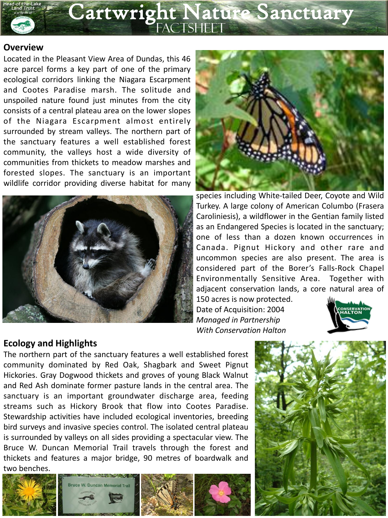

#### **Overview**

Located in the Pleasant View Area of Dundas, this 46 acre parcel forms a key part of one of the primary ecological corridors linking the Niagara Escarpment and Cootes Paradise marsh. The solitude and unspoiled nature found just minutes from the city consists of a central plateau area on the lower slopes of the Niagara Escarpment almost entirely surrounded by stream valleys. The northern part of the sanctuary features a well established forest community, the valleys host a wide diversity of communities from thickets to meadow marshes and forested slopes. The sanctuary is an important wildlife corridor providing diverse habitat for many





species including White-tailed Deer, Coyote and Wild Turkey. A large colony of American Columbo (Frasera Caroliniesis), a wildflower in the Gentian family listed as an Endangered Species is located in the sanctuary; one of less than a dozen known occurrences in Canada. Pignut Hickory and other rare and uncommon species are also present. The area is considered part of the Borer's Falls-Rock Chapel Environmentally Sensitive Area. Together with adjacent conservation lands, a core natural area of

150 acres is now protected. Date of Acquisition: 2004 *Managed in Partnership With Conservation Halton*



## **Ecology and Highlights**

The northern part of the sanctuary features a well established forest community dominated by Red Oak, Shagbark and Sweet Pignut Hickories. Gray Dogwood thickets and groves of young Black Walnut and Red Ash dominate former pasture lands in the central area. The sanctuary is an important groundwater discharge area, feeding streams such as Hickory Brook that flow into Cootes Paradise. Stewardship activities have included ecological inventories, breeding bird surveys and invasive species control. The isolated central plateau is surrounded by valleys on all sides providing a spectacular view. The Bruce W. Duncan Memorial Trail travels through the forest and thickets and features a major bridge, 90 metres of boardwalk and two benches.